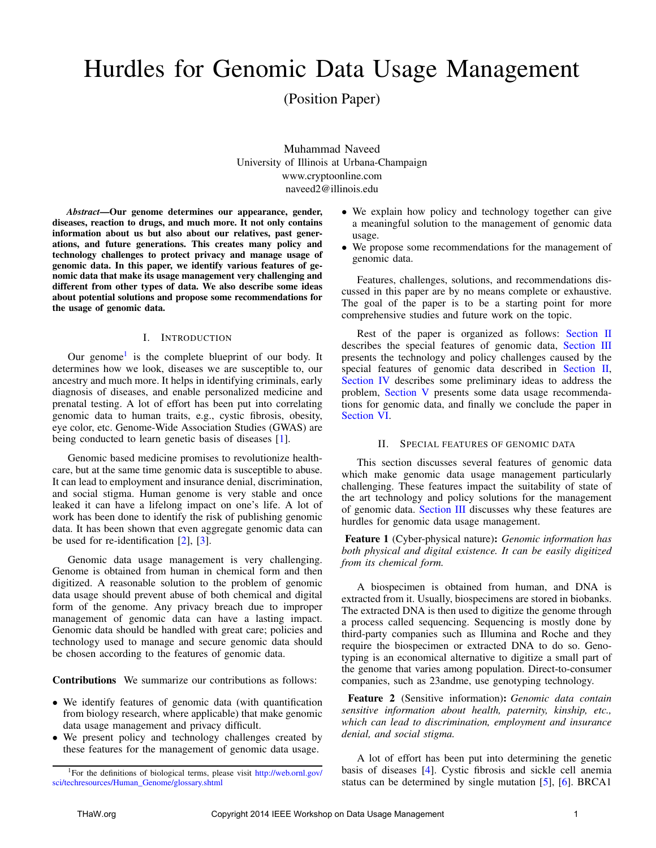# <span id="page-0-1"></span>Hurdles for Genomic Data Usage Management

(Position Paper)

Muhammad Naveed University of Illinois at Urbana-Champaign www.cryptoonline.com naveed2@illinois.edu

*Abstract*—Our genome determines our appearance, gender, diseases, reaction to drugs, and much more. It not only contains information about us but also about our relatives, past generations, and future generations. This creates many policy and technology challenges to protect privacy and manage usage of genomic data. In this paper, we identify various features of genomic data that make its usage management very challenging and different from other types of data. We also describe some ideas about potential solutions and propose some recommendations for the usage of genomic data.

### I. INTRODUCTION

Our genome<sup>1</sup> is the complete blueprint of our body. It determines how we look, diseases we are susceptible to, our ancestry and much more. It helps in identifying criminals, early diagnosis of diseases, and enable personalized medicine and prenatal testing. A lot of effort has been put into correlating genomic data to human traits, e.g., cystic fibrosis, obesity, eye color, etc. Genome-Wide Association Studies (GWAS) are being conducted to learn genetic basis of diseases [\[1\]](#page-4-0).

Genomic based medicine promises to revolutionize healthcare, but at the same time genomic data is susceptible to abuse. It can lead to employment and insurance denial, discrimination, and social stigma. Human genome is very stable and once leaked it can have a lifelong impact on one's life. A lot of work has been done to identify the risk of publishing genomic data. It has been shown that even aggregate genomic data can be used for re-identification [\[2\]](#page-4-1), [\[3\]](#page-4-2).

Genomic data usage management is very challenging. Genome is obtained from human in chemical form and then digitized. A reasonable solution to the problem of genomic data usage should prevent abuse of both chemical and digital form of the genome. Any privacy breach due to improper management of genomic data can have a lasting impact. Genomic data should be handled with great care; policies and technology used to manage and secure genomic data should be chosen according to the features of genomic data.

Contributions We summarize our contributions as follows:

- We identify features of genomic data (with quantification from biology research, where applicable) that make genomic data usage management and privacy difficult.
- We present policy and technology challenges created by these features for the management of genomic data usage.
- We explain how policy and technology together can give a meaningful solution to the management of genomic data usage.
- We propose some recommendations for the management of genomic data.

Features, challenges, solutions, and recommendations discussed in this paper are by no means complete or exhaustive. The goal of the paper is to be a starting point for more comprehensive studies and future work on the topic.

Rest of the paper is organized as follows: [Section II](#page-0-0) describes the special features of genomic data, [Section III](#page-2-0) presents the technology and policy challenges caused by the special features of genomic data described in [Section II,](#page-0-0) [Section IV](#page-2-1) describes some preliminary ideas to address the problem, [Section V](#page-3-0) presents some data usage recommendations for genomic data, and finally we conclude the paper in [Section VI.](#page-4-3)

### II. SPECIAL FEATURES OF GENOMIC DATA

<span id="page-0-0"></span>This section discusses several features of genomic data which make genomic data usage management particularly challenging. These features impact the suitability of state of the art technology and policy solutions for the management of genomic data. [Section III](#page-2-0) discusses why these features are hurdles for genomic data usage management.

<span id="page-0-2"></span>Feature 1 (Cyber-physical nature): *Genomic information has both physical and digital existence. It can be easily digitized from its chemical form.*

A biospecimen is obtained from human, and DNA is extracted from it. Usually, biospecimens are stored in biobanks. The extracted DNA is then used to digitize the genome through a process called sequencing. Sequencing is mostly done by third-party companies such as Illumina and Roche and they require the biospecimen or extracted DNA to do so. Genotyping is an economical alternative to digitize a small part of the genome that varies among population. Direct-to-consumer companies, such as 23andme, use genotyping technology.

Feature 2 (Sensitive information): *Genomic data contain sensitive information about health, paternity, kinship, etc., which can lead to discrimination, employment and insurance denial, and social stigma.*

A lot of effort has been put into determining the genetic basis of diseases [\[4\]](#page-4-4). Cystic fibrosis and sickle cell anemia status can be determined by single mutation [\[5\]](#page-4-5), [\[6\]](#page-4-6). BRCA1

<sup>&</sup>lt;sup>1</sup>For the definitions of biological terms, please visit [http://web.ornl.gov/](http://web.ornl.gov/sci/techresources/Human_Genome/glossary.shtml) [sci/techresources/Human\\_Genome/glossary.shtml](http://web.ornl.gov/sci/techresources/Human_Genome/glossary.shtml)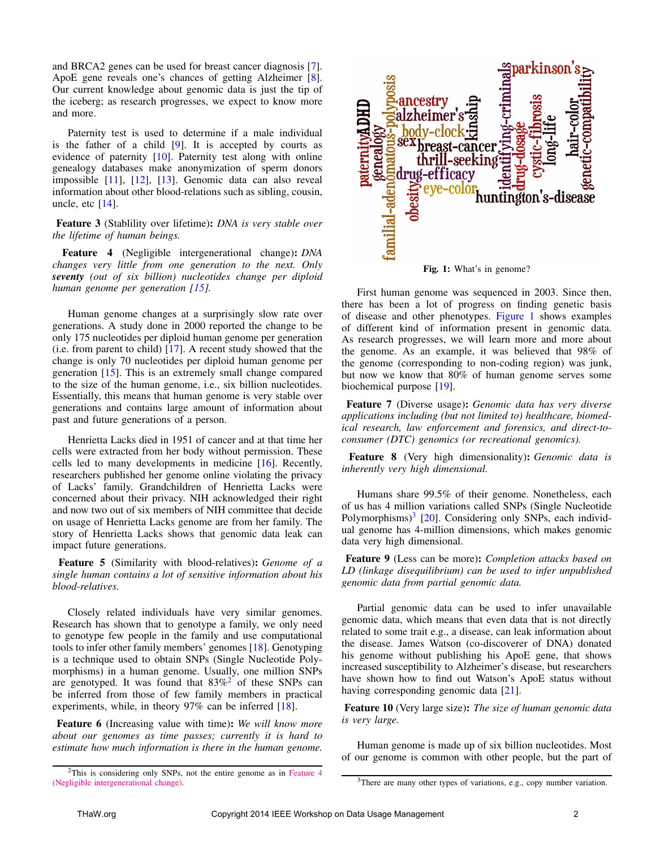and BRCA2 genes can be used for breast cancer diagnosis [\[7\]](#page-4-7). ApoE gene reveals one's chances of getting Alzheimer [\[8\]](#page-4-8). Our current knowledge about genomic data is just the tip of the iceberg; as research progresses, we expect to know more and more.

Paternity test is used to determine if a male individual is the father of a child  $[9]$ . It is accepted by courts as evidence of paternity [\[10\]](#page-4-10). Paternity test along with online genealogy databases make anonymization of sperm donors impossible [\[11\]](#page-4-11), [\[12\]](#page-4-12), [\[13\]](#page-4-13). Genomic data can also reveal information about other blood-relations such as sibling, cousin, uncle, etc  $[14]$ .

<span id="page-1-2"></span>Feature 3 (Stablility over lifetime): *DNA is very stable over the lifetime of human beings.*

<span id="page-1-0"></span>Feature 4 (Negligible intergenerational change): *DNA changes very little from one generation to the next. Only seventy (out of six billion) nucleotides change per diploid human genome per generation [\[15\]](#page-4-15).*

Human genome changes at a surprisingly slow rate over generations. A study done in 2000 reported the change to be only 175 nucleotides per diploid human genome per generation (i.e. from parent to child) [\[17\]](#page-4-16). A recent study showed that the change is only 70 nucleotides per diploid human genome per generation [\[15\]](#page-4-15). This is an extremely small change compared to the size of the human genome, i.e., six billion nucleotides. Essentially, this means that human genome is very stable over generations and contains large amount of information about past and future generations of a person.

Henrietta Lacks died in 1951 of cancer and at that time her cells were extracted from her body without permission. These cells led to many developments in medicine [\[16\]](#page-4-17). Recently, researchers published her genome online violating the privacy of Lacks' family. Grandchildren of Henrietta Lacks were concerned about their privacy. NIH acknowledged their right and now two out of six members of NIH committee that decide on usage of Henrietta Lacks genome are from her family. The story of Henrietta Lacks shows that genomic data leak can impact future generations.

<span id="page-1-3"></span>Feature 5 (Similarity with blood-relatives): *Genome of a single human contains a lot of sensitive information about his blood-relatives.*

Closely related individuals have very similar genomes. Research has shown that to genotype a family, we only need to genotype few people in the family and use computational tools to infer other family members' genomes [\[18\]](#page-4-18). Genotyping is a technique used to obtain SNPs (Single Nucleotide Polymorphisms) in a human genome. Usually, one million SNPs are genotyped. It was found that  $83\%^2$  $83\%^2$  of these SNPs can be inferred from those of few family members in practical experiments, while, in theory 97% can be inferred [\[18\]](#page-4-18).

<span id="page-1-4"></span>Feature 6 (Increasing value with time): *We will know more about our genomes as time passes; currently it is hard to estimate how much information is there in the human genome.*



<span id="page-1-1"></span>

Fig. 1: What's in genome?

First human genome was sequenced in 2003. Since then, there has been a lot of progress on finding genetic basis of disease and other phenotypes. [Figure 1](#page-1-1) shows examples of different kind of information present in genomic data. As research progresses, we will learn more and more about the genome. As an example, it was believed that 98% of the genome (corresponding to non-coding region) was junk, but now we know that 80% of human genome serves some biochemical purpose [\[19\]](#page-4-19).

<span id="page-1-5"></span>Feature 7 (Diverse usage): *Genomic data has very diverse applications including (but not limited to) healthcare, biomedical research, law enforcement and forensics, and direct-toconsumer (DTC) genomics (or recreational genomics).*

<span id="page-1-7"></span>Feature 8 (Very high dimensionality): *Genomic data is inherently very high dimensional.*

Humans share 99.5% of their genome. Nonetheless, each of us has 4 million variations called SNPs (Single Nucleotide Polymorphisms)<sup>[3](#page-0-1)</sup> [\[20\]](#page-4-20). Considering only SNPs, each individual genome has 4-million dimensions, which makes genomic data very high dimensional.

<span id="page-1-6"></span>Feature 9 (Less can be more): *Completion attacks based on LD (linkage disequilibrium) can be used to infer unpublished genomic data from partial genomic data.*

Partial genomic data can be used to infer unavailable genomic data, which means that even data that is not directly related to some trait e.g., a disease, can leak information about the disease. James Watson (co-discoverer of DNA) donated his genome without publishing his ApoE gene, that shows increased susceptibility to Alzheimer's disease, but researchers have shown how to find out Watson's ApoE status without having corresponding genomic data [\[21\]](#page-4-21).

<span id="page-1-8"></span>Feature 10 (Very large size): *The size of human genomic data is very large.*

Human genome is made up of six billion nucleotides. Most of our genome is common with other people, but the part of

<sup>&</sup>lt;sup>3</sup>There are many other types of variations, e.g., copy number variation.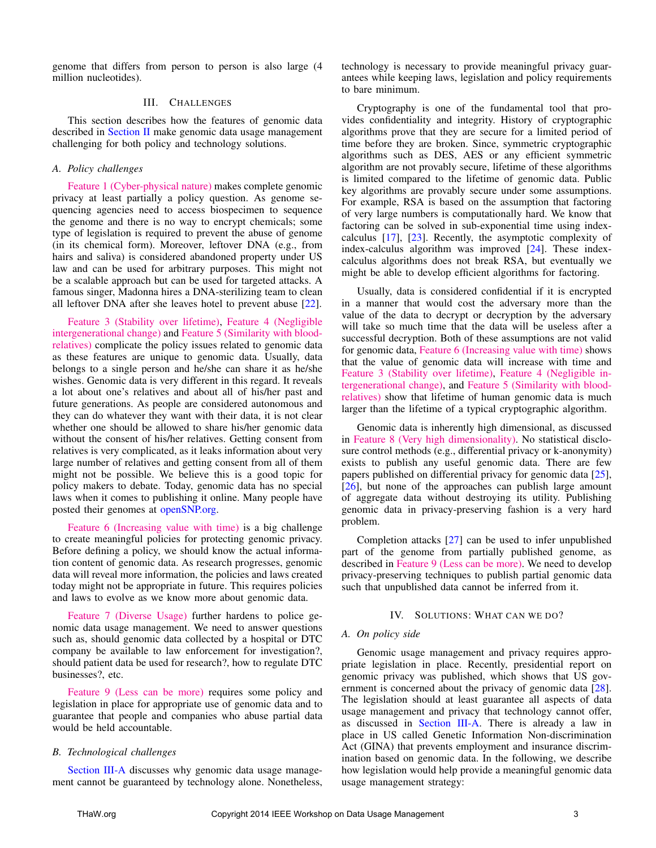genome that differs from person to person is also large (4 million nucleotides).

## III. CHALLENGES

<span id="page-2-0"></span>This section describes how the features of genomic data described in [Section II](#page-0-0) make genomic data usage management challenging for both policy and technology solutions.

#### <span id="page-2-2"></span>*A. Policy challenges*

[Feature 1 \(Cyber-physical nature\)](#page-0-2) makes complete genomic privacy at least partially a policy question. As genome sequencing agencies need to access biospecimen to sequence the genome and there is no way to encrypt chemicals; some type of legislation is required to prevent the abuse of genome (in its chemical form). Moreover, leftover DNA (e.g., from hairs and saliva) is considered abandoned property under US law and can be used for arbitrary purposes. This might not be a scalable approach but can be used for targeted attacks. A famous singer, Madonna hires a DNA-sterilizing team to clean all leftover DNA after she leaves hotel to prevent abuse [\[22\]](#page-4-22).

[Feature 3 \(Stability over lifetime\),](#page-1-2) [Feature 4 \(Negligible](#page-1-0) [intergenerational change\)](#page-1-0) and [Feature 5 \(Similarity with blood](#page-1-3)[relatives\)](#page-1-3) complicate the policy issues related to genomic data as these features are unique to genomic data. Usually, data belongs to a single person and he/she can share it as he/she wishes. Genomic data is very different in this regard. It reveals a lot about one's relatives and about all of his/her past and future generations. As people are considered autonomous and they can do whatever they want with their data, it is not clear whether one should be allowed to share his/her genomic data without the consent of his/her relatives. Getting consent from relatives is very complicated, as it leaks information about very large number of relatives and getting consent from all of them might not be possible. We believe this is a good topic for policy makers to debate. Today, genomic data has no special laws when it comes to publishing it online. Many people have posted their genomes at [openSNP.org.](openSNP.org)

[Feature 6 \(Increasing value with time\)](#page-1-4) is a big challenge to create meaningful policies for protecting genomic privacy. Before defining a policy, we should know the actual information content of genomic data. As research progresses, genomic data will reveal more information, the policies and laws created today might not be appropriate in future. This requires policies and laws to evolve as we know more about genomic data.

[Feature 7 \(Diverse Usage\)](#page-1-5) further hardens to police genomic data usage management. We need to answer questions such as, should genomic data collected by a hospital or DTC company be available to law enforcement for investigation?, should patient data be used for research?, how to regulate DTC businesses?, etc.

[Feature 9 \(Less can be more\)](#page-1-6) requires some policy and legislation in place for appropriate use of genomic data and to guarantee that people and companies who abuse partial data would be held accountable.

## *B. Technological challenges*

[Section III-A](#page-2-2) discusses why genomic data usage management cannot be guaranteed by technology alone. Nonetheless, technology is necessary to provide meaningful privacy guarantees while keeping laws, legislation and policy requirements to bare minimum.

Cryptography is one of the fundamental tool that provides confidentiality and integrity. History of cryptographic algorithms prove that they are secure for a limited period of time before they are broken. Since, symmetric cryptographic algorithms such as DES, AES or any efficient symmetric algorithm are not provably secure, lifetime of these algorithms is limited compared to the lifetime of genomic data. Public key algorithms are provably secure under some assumptions. For example, RSA is based on the assumption that factoring of very large numbers is computationally hard. We know that factoring can be solved in sub-exponential time using indexcalculus [\[17\]](#page-4-16), [\[23\]](#page-4-23). Recently, the asymptotic complexity of index-calculus algorithm was improved [\[24\]](#page-4-24). These indexcalculus algorithms does not break RSA, but eventually we might be able to develop efficient algorithms for factoring.

Usually, data is considered confidential if it is encrypted in a manner that would cost the adversary more than the value of the data to decrypt or decryption by the adversary will take so much time that the data will be useless after a successful decryption. Both of these assumptions are not valid for genomic data, [Feature 6 \(Increasing value with time\)](#page-1-4) shows that the value of genomic data will increase with time and [Feature 3 \(Stability over lifetime\),](#page-1-2) [Feature 4 \(Negligible in](#page-1-0)[tergenerational change\),](#page-1-0) and [Feature 5 \(Similarity with blood](#page-1-3)[relatives\)](#page-1-3) show that lifetime of human genomic data is much larger than the lifetime of a typical cryptographic algorithm.

Genomic data is inherently high dimensional, as discussed in [Feature 8 \(Very high dimensionality\).](#page-1-7) No statistical disclosure control methods (e.g., differential privacy or k-anonymity) exists to publish any useful genomic data. There are few papers published on differential privacy for genomic data [\[25\]](#page-4-25), [\[26\]](#page-4-26), but none of the approaches can publish large amount of aggregate data without destroying its utility. Publishing genomic data in privacy-preserving fashion is a very hard problem.

Completion attacks [\[27\]](#page-4-27) can be used to infer unpublished part of the genome from partially published genome, as described in [Feature 9 \(Less can be more\).](#page-1-6) We need to develop privacy-preserving techniques to publish partial genomic data such that unpublished data cannot be inferred from it.

### IV. SOLUTIONS: WHAT CAN WE DO?

#### <span id="page-2-1"></span>*A. On policy side*

Genomic usage management and privacy requires appropriate legislation in place. Recently, presidential report on genomic privacy was published, which shows that US government is concerned about the privacy of genomic data [\[28\]](#page-4-28). The legislation should at least guarantee all aspects of data usage management and privacy that technology cannot offer, as discussed in [Section III-A.](#page-2-2) There is already a law in place in US called Genetic Information Non-discrimination Act (GINA) that prevents employment and insurance discrimination based on genomic data. In the following, we describe how legislation would help provide a meaningful genomic data usage management strategy: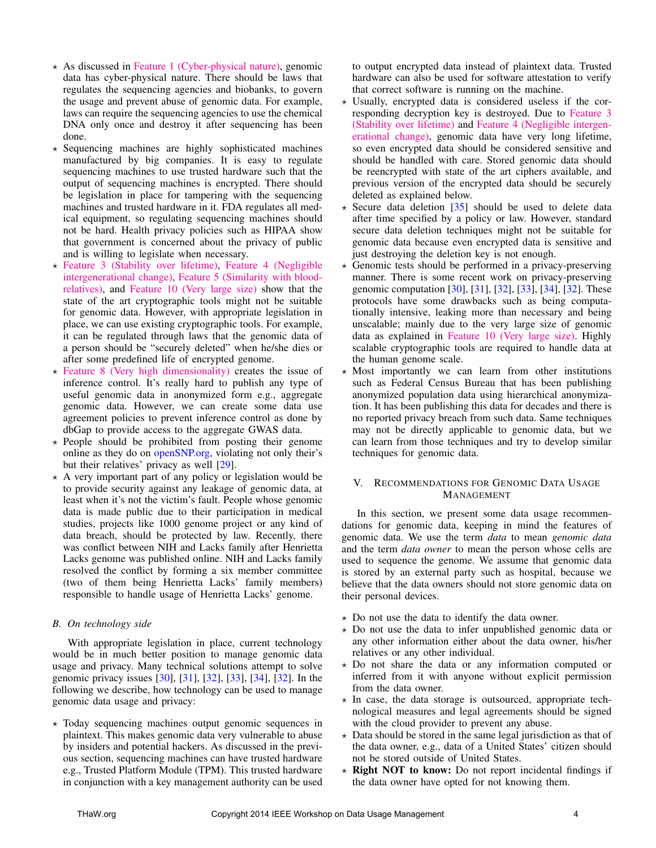- $\star$  As discussed in [Feature 1 \(Cyber-physical nature\),](#page-0-2) genomic data has cyber-physical nature. There should be laws that regulates the sequencing agencies and biobanks, to govern the usage and prevent abuse of genomic data. For example, laws can require the sequencing agencies to use the chemical DNA only once and destroy it after sequencing has been done.
- Sequencing machines are highly sophisticated machines manufactured by big companies. It is easy to regulate sequencing machines to use trusted hardware such that the output of sequencing machines is encrypted. There should be legislation in place for tampering with the sequencing machines and trusted hardware in it. FDA regulates all medical equipment, so regulating sequencing machines should not be hard. Health privacy policies such as HIPAA show that government is concerned about the privacy of public and is willing to legislate when necessary.
- $\star$  [Feature 3 \(Stability over lifetime\),](#page-1-2) [Feature 4 \(Negligible](#page-1-0) [intergenerational change\),](#page-1-0) [Feature 5 \(Similarity with blood](#page-1-3)[relatives\),](#page-1-3) and [Feature 10 \(Very large size\)](#page-1-8) show that the state of the art cryptographic tools might not be suitable for genomic data. However, with appropriate legislation in place, we can use existing cryptographic tools. For example, it can be regulated through laws that the genomic data of a person should be "securely deleted" when he/she dies or after some predefined life of encrypted genome.
- $\star$  [Feature 8 \(Very high dimensionality\)](#page-1-7) creates the issue of inference control. It's really hard to publish any type of useful genomic data in anonymized form e.g., aggregate genomic data. However, we can create some data use agreement policies to prevent inference control as done by dbGap to provide access to the aggregate GWAS data.
- $\star$  People should be prohibited from posting their genome online as they do on [openSNP.org,](openSNP.org) violating not only their's but their relatives' privacy as well [\[29\]](#page-4-29).
- $\star$  A very important part of any policy or legislation would be to provide security against any leakage of genomic data, at least when it's not the victim's fault. People whose genomic data is made public due to their participation in medical studies, projects like 1000 genome project or any kind of data breach, should be protected by law. Recently, there was conflict between NIH and Lacks family after Henrietta Lacks genome was published online. NIH and Lacks family resolved the conflict by forming a six member committee (two of them being Henrietta Lacks' family members) responsible to handle usage of Henrietta Lacks' genome.

# *B. On technology side*

With appropriate legislation in place, current technology would be in much better position to manage genomic data usage and privacy. Many technical solutions attempt to solve genomic privacy issues [\[30\]](#page-4-30), [\[31\]](#page-4-31), [\[32\]](#page-4-32), [\[33\]](#page-4-33), [\[34\]](#page-4-34), [\[32\]](#page-4-32). In the following we describe, how technology can be used to manage genomic data usage and privacy:

 $\star$  Today sequencing machines output genomic sequences in plaintext. This makes genomic data very vulnerable to abuse by insiders and potential hackers. As discussed in the previous section, sequencing machines can have trusted hardware e.g., Trusted Platform Module (TPM). This trusted hardware in conjunction with a key management authority can be used to output encrypted data instead of plaintext data. Trusted hardware can also be used for software attestation to verify that correct software is running on the machine.

- $\star$  Usually, encrypted data is considered useless if the corresponding decryption key is destroyed. Due to [Feature 3](#page-1-2) [\(Stability over lifetime\)](#page-1-2) and [Feature 4 \(Negligible intergen](#page-1-0)[erational change\),](#page-1-0) genomic data have very long lifetime, so even encrypted data should be considered sensitive and should be handled with care. Stored genomic data should be reencrypted with state of the art ciphers available, and previous version of the encrypted data should be securely deleted as explained below.
- $\star$  Secure data deletion [\[35\]](#page-4-35) should be used to delete data after time specified by a policy or law. However, standard secure data deletion techniques might not be suitable for genomic data because even encrypted data is sensitive and just destroying the deletion key is not enough.
- $\star$  Genomic tests should be performed in a privacy-preserving manner. There is some recent work on privacy-preserving genomic computation [\[30\]](#page-4-30), [\[31\]](#page-4-31), [\[32\]](#page-4-32), [\[33\]](#page-4-33), [\[34\]](#page-4-34), [\[32\]](#page-4-32). These protocols have some drawbacks such as being computationally intensive, leaking more than necessary and being unscalable; mainly due to the very large size of genomic data as explained in [Feature 10 \(Very large size\).](#page-1-8) Highly scalable cryptographic tools are required to handle data at the human genome scale.
- $\star$  Most importantly we can learn from other institutions such as Federal Census Bureau that has been publishing anonymized population data using hierarchical anonymization. It has been publishing this data for decades and there is no reported privacy breach from such data. Same techniques may not be directly applicable to genomic data, but we can learn from those techniques and try to develop similar techniques for genomic data.

# <span id="page-3-0"></span>V. RECOMMENDATIONS FOR GENOMIC DATA USAGE MANAGEMENT

In this section, we present some data usage recommendations for genomic data, keeping in mind the features of genomic data. We use the term *data* to mean *genomic data* and the term *data owner* to mean the person whose cells are used to sequence the genome. We assume that genomic data is stored by an external party such as hospital, because we believe that the data owners should not store genomic data on their personal devices.

- $\star$  Do not use the data to identify the data owner.
- $\star$  Do not use the data to infer unpublished genomic data or any other information either about the data owner, his/her relatives or any other individual.
- $\star$  Do not share the data or any information computed or inferred from it with anyone without explicit permission from the data owner.
- $\star$  In case, the data storage is outsourced, appropriate technological measures and legal agreements should be signed with the cloud provider to prevent any abuse.
- $\star$  Data should be stored in the same legal jurisdiction as that of the data owner, e.g., data of a United States' citizen should not be stored outside of United States.
- $\star$  Right NOT to know: Do not report incidental findings if the data owner have opted for not knowing them.